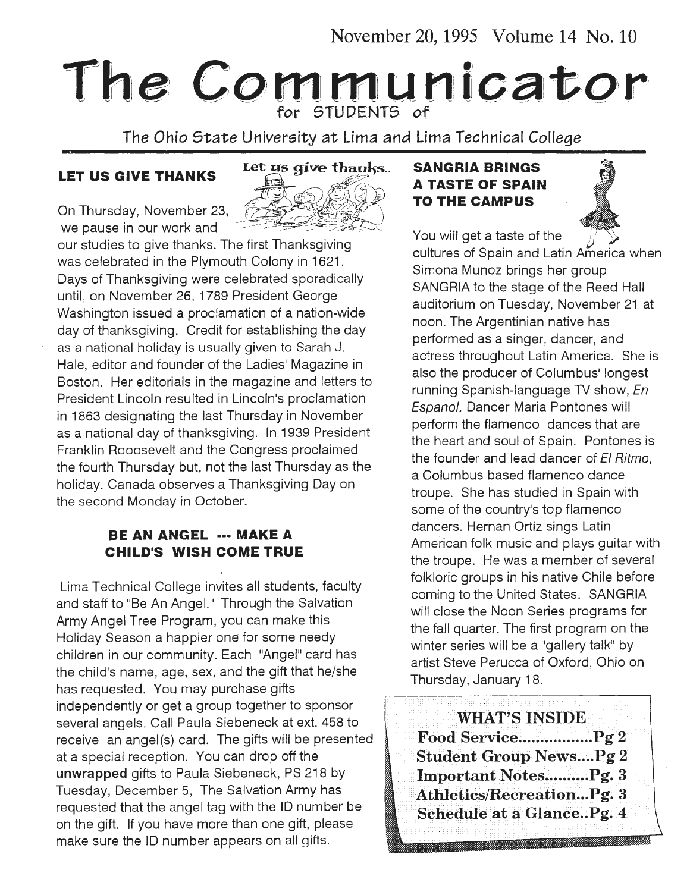November 20, 1995 Volume 14 No. 10

# The Communicator

The Ohio *State* University at Lima and Lima Technical *College* 



our studies to give thanks. The first Thanksgiving was celebrated in the Plymouth Colony in 1621. Days of Thanksgiving were celebrated sporadically until, on November 26, 1789 President George Washington issued a proclamation of a nation-wide day of thanksgiving. Credit for establishing the day as a national holiday is usually given to Sarah J. Hale, editor and founder of the Ladies' Magazine in Boston. Her editorials in the magazine and letters to President Lincoln resulted in Lincoln's proclamation in 1863 designating the last Thursday in November as a national day of thanksgiving. In 1939 President Franklin Rooosevelt and the Congress proclaimed the fourth Thursday but, not the last Thursday as the holiday. Canada observes a Thanksgiving Day on the second Monday in October.

#### **BE AN ANGEL** ··· **MAKE A CHILD'S WISH COME TRUE**

Lima Technical College invites all students, faculty and staff to "Be An Angel." Through the Salvation Army Angel Tree Program, you can make this Holiday Season a happier one for some needy children in our community. Each "Angel" card has the child's name, age, sex, and the gift that he/she has requested. You may purchase gifts independently or get a group together to sponsor several angels. Call Paula Siebeneck at ext. 458 to receive an angel(s) card. The gifts will be presented at a special reception. You can drop off the unwrapped gifts to Paula Siebeneck, PS 218 by Tuesday, December 5, The Salvation Army has requested that the angel tag with the ID number be on the gift. If you have more than one gift, please make sure the ID number appears on all gifts.

## LET US GIVE THANKS Let us give thanks.. SANGRIA BRINGS<br>A TASTE OF SPAIN On Thursday, November 23,  $\overbrace{z}^{1}$   $\overbrace{z}^{2}$   $\overbrace{z}^{3}$   $\overbrace{z}^{4}$  **TO THE CAMPUS**

You will get a taste of the



cultures of Spain and Latin America when Simona Munoz brings her group SANGRIA to the stage of the Reed Hall auditorium on Tuesday, November 21 at noon. The Argentinian native has performed as a singer, dancer, and actress throughout Latin America. She is also the producer of Columbus' longest running Spanish-language TV show, En Espanol. Dancer Maria Pontones will perform the flamenco dances that are the heart and soul of Spain. Pontones is the founder and lead dancer of  $EI$  Ritmo, a Columbus based flamenco dance troupe. She has studied in Spain with some of the country's top flamenco dancers. Hernan Ortiz sings Latin American folk music and plays guitar with the troupe. He was a member of several folkloric groups in his native Chile before coming to the United States. SANGRIA will close the Noon Series programs for the fall quarter. The first program on the winter series will be a "gallery talk" by artist Steve Perucca of Oxford, Ohio on Thursday, January 18.

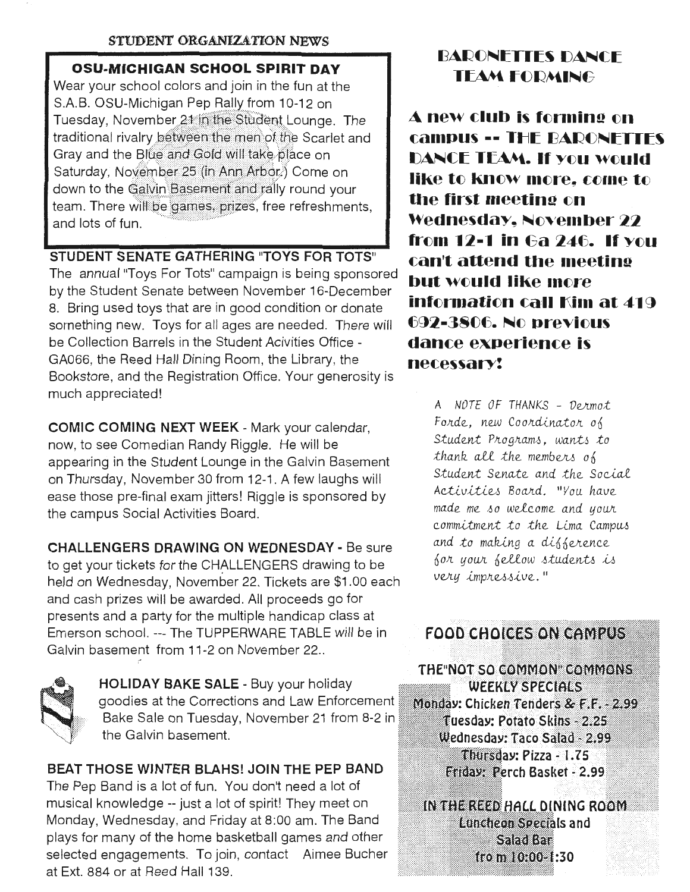#### **STUDENT ORGANIZ&TION NEWS**

#### **CSU-MICHIGAN SCHOOL SPIRIT DAY**

Wear your school colors and join in the fun at the S.A.B. OSU-Michigan Pep Rally from 10-12 on<br>Tuesday, November 21 in the Student Lounge. The traditional rivalry between the men of the Scarlet and Gray and the Blue and Gold will take place on Saturday, November 25 (in Ann Arbor.) Come on down to the Galvin Basement and rally round your team. There will be games, prizes, free refreshments. and lots of fun.

#### **STUDENT SENATE GATHERING "TOYS FOR TOTS"**

The annual "Toys For Tots" campaign is being sponsored by the Student Senate between November 16-December 8. Bring used toys that are in good condition or donate something new. Toys for all ages are needed. There will be Collection Barrels in the Student Acivities Office - GA066, the Reed Hall Dining Room, the Library, the Bookstore, and the Registration Office. Your generosity is much appreciated!

**COMIC COMING NEXT WEEK-** Mark your calendar, now, to see Comedian Randy Riggle. He will be appearing in the Student Lounge in the Galvin Basement on Thursday, November 30 from 12-1 . A few laughs will ease those pre-final exam jitters! Riggle is sponsored by the campus Social Activities Board.

**CHALLENGERS DRAWING ON WEDNESDAY-** Be sure to get your tickets for the CHALLENGERS drawing to be held on Wednesday, November 22. Tickets are \$1.00 each and cash prizes will be awarded. All proceeds go for presents and a party for the multiple handicap class at Emerson school. --- The TUPPERWARE TABLE will be in FOOD CHOICES ON CAMPUS<br>Galvin basement from 11-2 on November 22..



HOLIDAY BAKE SALE - Buy your holiday goodies at the Corrections and Law Enforcement **Monday: Chicken Tenders & F.F. - 2.99**<br>Bake Sale on Tuesday, November 21 from 8-2 in **the Tuesday: Potato Skins - 2.25** the Galvin basement.

The Pep Band is a lot of fun. You don't need a lot of musical knowledge -- just a lot of spirit! They meet on Monday, Wednesday, and Friday at 8:00 am. The Band plays for many of the home basketball games and other selected engagements. To join, contact Aimee Bucher at Ext. 884 or at Reed Hall 139.

#### BARONETTES DANCE **TEAM FORMING**

 $\blacktriangle$  new club is forming on **campus -- THE BARONFITTES DANCE TEAM. If YOU WOUld like to know more, come to the first meeting on Wednesday, November 22 from 12-1 in Ga 246. If you can't attend the 1neetina but would like more information call Kim at 419** f3~2-3S()f3. ~() **pr-evi()US dance experience is necessarr:** 

A *NOTE OF THANKS* - *Ve..Jr..mot*  Forde, new Coordinator of *Student Programs, wants to* thank all the members of *<u>Student</u>* Senate and the Social Activities Board. "You have  $made me so welcome and your$ *commitment to the Lima Campus* and to making a difference for your fellow students is very impressive."

THE NOT SO COMMON COMMONS **WEEKLY SPECIALS** Wednesday: Taco Salad - 2.99 Thursday: Pizza - 1.75<br>BEAT THOSE WINTER BLAHS! JOIN THE PEP BAND Friday: Perch Basket - 2.99  $\mathcal{I}$ 

> IN THE REED HALL DINING ROOM Luncheon Specials and Saadkaa fro m 10:00-1:30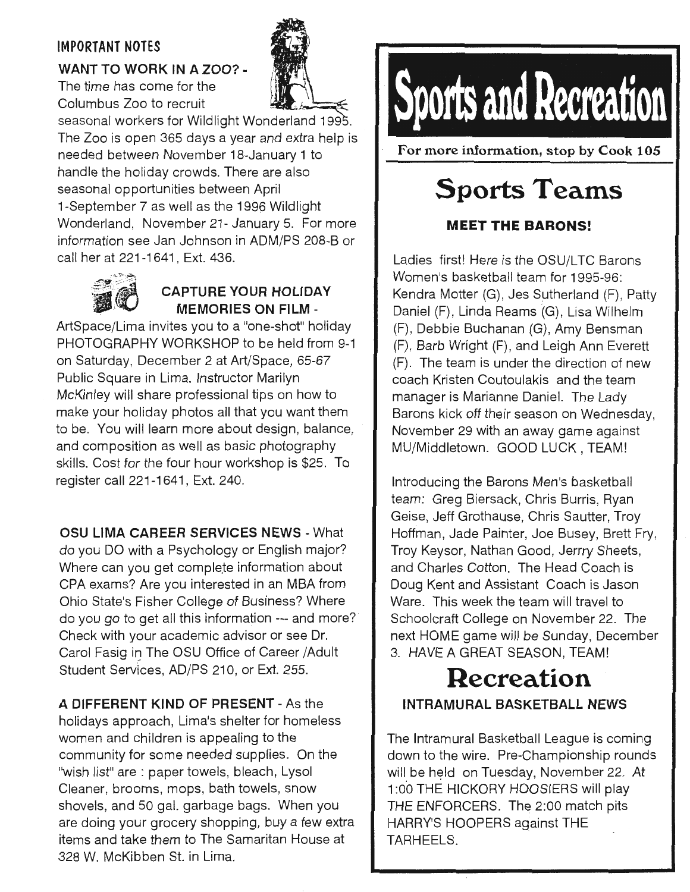#### IMPORTANT NOTES

#### WANT TO WORK IN A ZOO? -

The time has come for the Columbus Zoo to recruit



seasonal workers for Wildlight Wonderland 1995. The Zoo is open 365 days a year and extra help is needed between November 18-January 1 to handle the holiday crowds. There are also seasonal opportunities between April 1-September 7 as well as the 1996 Wildlight Wonderland, November 21- January 5. For more information see Jan Johnson in ADM/PS 208-B or call her at 221-1641 , Ext. 436.



#### CAPTURE YOUR HOLIDAY MEMORIES ON FILM -

ArtSpace/Lima invites you to a "one-shot" holiday PHOTOGRAPHY WORKSHOP to be held from 9-1 on Saturday, December 2 at Art/Space, 65-67 Public Square in Lima. Instructor Marilyn McKinley will share professional tips on how to make your holiday photos all that you want them to be. You will learn more about design, balance, and composition as well as basic photography skills. Cost for the four hour workshop is \$25. To register call 221-1641, Ext. 240.

OSU LIMA CAREER SERVICES NEWS - What do you DO with a Psychology or English major? Where can you get complete information about CPA exams? Are you interested in an MBA from Ohio State's Fisher College of Business? Where do you go to get all this information --- and more? · Check with your academic advisor or see Dr. Carol Fasig in The OSU Office of Career /Adult Student Services, AD/PS 210, or Ext. 255.

A DIFFERENT KIND OF PRESENT - As the holidays approach, Lima's shelter for homeless women and children is appealing to the community for some needed supplies. On the ''wish list" are : paper towels, bleach, Lysol Cleaner, brooms, mops, bath towels, snow shovels, and 50 gal. garbage bags. When you are doing your grocery shopping, buy a few extra items and take them to The Samaritan House at 328 W. McKibben St. in Lima.

# **Sports and Recreation**

For more information, stop by Cook 105

## **Sports Teams**

#### **MEET THE BARONS!**

Ladies first! Here is the OSU/LTC Barons Women's basketball team tor 1995-96: Kendra Motter (G), Jes Sutherland (F), Patty Daniel (F), Linda Reams (G), Lisa Wilhelm (F), Debbie Buchanan (G), Amy Bensman (F), Barb Wright (F), and Leigh Ann Everett (F). The team is under the direction of new coach Kristen Coutoulakis and the team manager is Marianne Daniel. The Lady Barons kick off their season on Wednesday, November 29 with an away game against MU/Middletown. GOOD LUCK, TEAM!

Introducing the Barons Men's basketball team: Greg Biersack, Chris Burris, Ryan Geise, Jeff Grothause, Chris Sautter, Troy Hoffman, Jade Painter, Joe Busey, Brett Fry, Troy Keysor, Nathan Good, Jerrry Sheets, and Charles Cotton. The Head Coach is Doug Kent and Assistant Coach is Jason Ware. This week the team will travel to Schoolcraft College on November 22. The next HOME game will be Sunday, December 3. HAVE A GREAT SEASON, TEAM!

### **Recreation**  INTRAMURAL BASKETBALL NEWS

The Intramural Basketball League is coming down to the wire. Pre-Championship rounds will be held on Tuesday, November 22. At 1 :OO THE HICKORY HOOSIERS will play THE ENFORCERS. The 2:00 match pits HARRY'S HOOPERS against THE TARHEELS.